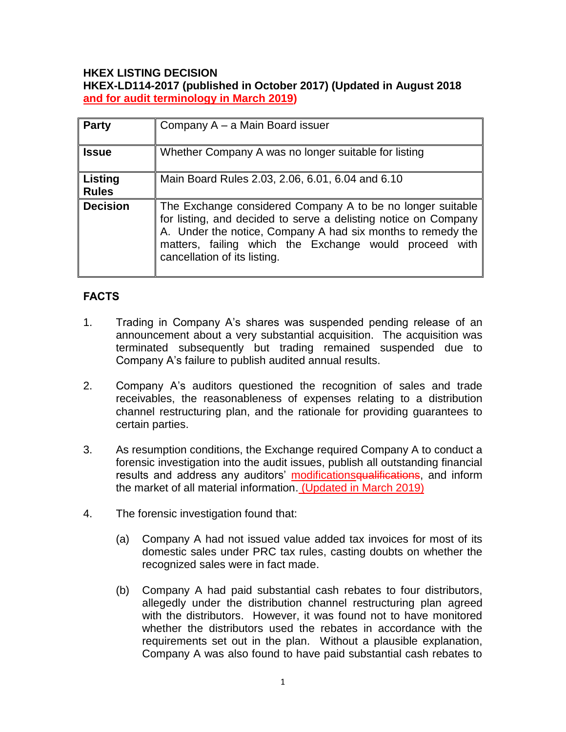### **HKEX LISTING DECISION HKEX-LD114-2017 (published in October 2017) (Updated in August 2018 and for audit terminology in March 2019)**

| <b>Party</b>                   | Company A - a Main Board issuer                                                                                                                                                                                                                                                        |
|--------------------------------|----------------------------------------------------------------------------------------------------------------------------------------------------------------------------------------------------------------------------------------------------------------------------------------|
| <b>Issue</b>                   | Whether Company A was no longer suitable for listing                                                                                                                                                                                                                                   |
| <b>Listing</b><br><b>Rules</b> | Main Board Rules 2.03, 2.06, 6.01, 6.04 and 6.10                                                                                                                                                                                                                                       |
| <b>Decision</b>                | The Exchange considered Company A to be no longer suitable<br>for listing, and decided to serve a delisting notice on Company<br>A. Under the notice, Company A had six months to remedy the<br>matters, failing which the Exchange would proceed with<br>cancellation of its listing. |

# **FACTS**

- 1. Trading in Company A's shares was suspended pending release of an announcement about a very substantial acquisition. The acquisition was terminated subsequently but trading remained suspended due to Company A's failure to publish audited annual results.
- 2. Company A's auditors questioned the recognition of sales and trade receivables, the reasonableness of expenses relating to a distribution channel restructuring plan, and the rationale for providing guarantees to certain parties.
- 3. As resumption conditions, the Exchange required Company A to conduct a forensic investigation into the audit issues, publish all outstanding financial results and address any auditors' modifications qualifications, and inform the market of all material information. (Updated in March 2019)
- 4. The forensic investigation found that:
	- (a) Company A had not issued value added tax invoices for most of its domestic sales under PRC tax rules, casting doubts on whether the recognized sales were in fact made.
	- (b) Company A had paid substantial cash rebates to four distributors, allegedly under the distribution channel restructuring plan agreed with the distributors. However, it was found not to have monitored whether the distributors used the rebates in accordance with the requirements set out in the plan. Without a plausible explanation, Company A was also found to have paid substantial cash rebates to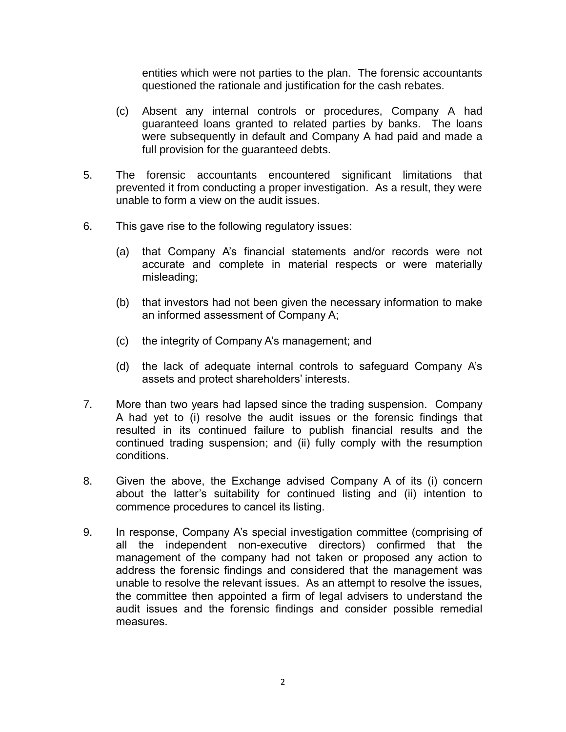entities which were not parties to the plan. The forensic accountants questioned the rationale and justification for the cash rebates.

- (c) Absent any internal controls or procedures, Company A had guaranteed loans granted to related parties by banks. The loans were subsequently in default and Company A had paid and made a full provision for the guaranteed debts.
- 5. The forensic accountants encountered significant limitations that prevented it from conducting a proper investigation. As a result, they were unable to form a view on the audit issues.
- 6. This gave rise to the following regulatory issues:
	- (a) that Company A's financial statements and/or records were not accurate and complete in material respects or were materially misleading;
	- (b) that investors had not been given the necessary information to make an informed assessment of Company A;
	- (c) the integrity of Company A's management; and
	- (d) the lack of adequate internal controls to safeguard Company A's assets and protect shareholders' interests.
- 7. More than two years had lapsed since the trading suspension. Company A had yet to (i) resolve the audit issues or the forensic findings that resulted in its continued failure to publish financial results and the continued trading suspension; and (ii) fully comply with the resumption conditions.
- 8. Given the above, the Exchange advised Company A of its (i) concern about the latter's suitability for continued listing and (ii) intention to commence procedures to cancel its listing.
- 9. In response, Company A's special investigation committee (comprising of all the independent non-executive directors) confirmed that the management of the company had not taken or proposed any action to address the forensic findings and considered that the management was unable to resolve the relevant issues. As an attempt to resolve the issues, the committee then appointed a firm of legal advisers to understand the audit issues and the forensic findings and consider possible remedial measures.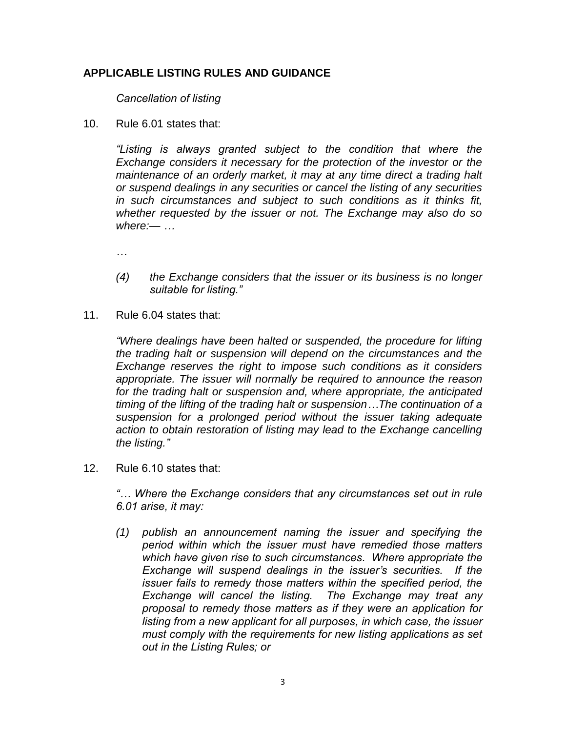# **APPLICABLE LISTING RULES AND GUIDANCE**

*Cancellation of listing* 

10. Rule 6.01 states that:

*"Listing is always granted subject to the condition that where the Exchange considers it necessary for the protection of the investor or the maintenance of an orderly market, it may at any time direct a trading halt or suspend dealings in any securities or cancel the listing of any securities in such circumstances and subject to such conditions as it thinks fit, whether requested by the issuer or not. The Exchange may also do so where:— …*

*…*

- *(4) the Exchange considers that the issuer or its business is no longer suitable for listing."*
- 11. Rule 6.04 states that:

*"Where dealings have been halted or suspended, the procedure for lifting the trading halt or suspension will depend on the circumstances and the Exchange reserves the right to impose such conditions as it considers appropriate. The issuer will normally be required to announce the reason for the trading halt or suspension and, where appropriate, the anticipated timing of the lifting of the trading halt or suspension…The continuation of a suspension for a prolonged period without the issuer taking adequate action to obtain restoration of listing may lead to the Exchange cancelling the listing."*

12. Rule 6.10 states that:

*"… Where the Exchange considers that any circumstances set out in rule 6.01 arise, it may:*

*(1) publish an announcement naming the issuer and specifying the period within which the issuer must have remedied those matters which have given rise to such circumstances. Where appropriate the Exchange will suspend dealings in the issuer's securities. If the issuer fails to remedy those matters within the specified period, the Exchange will cancel the listing. The Exchange may treat any proposal to remedy those matters as if they were an application for listing from a new applicant for all purposes, in which case, the issuer must comply with the requirements for new listing applications as set out in the Listing Rules; or*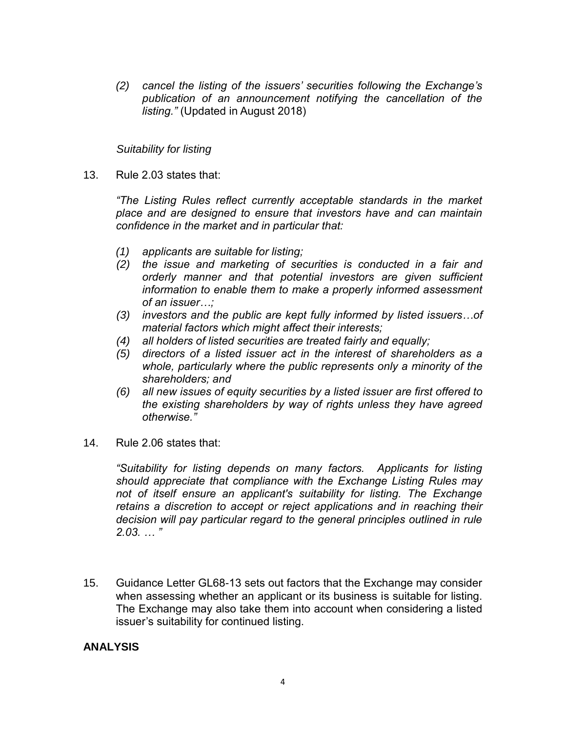*(2) cancel the listing of the issuers' securities following the Exchange's publication of an announcement notifying the cancellation of the listing."* (Updated in August 2018)

#### *Suitability for listing*

13. Rule 2.03 states that:

*"The Listing Rules reflect currently acceptable standards in the market place and are designed to ensure that investors have and can maintain confidence in the market and in particular that:* 

- *(1) applicants are suitable for listing;*
- *(2) the issue and marketing of securities is conducted in a fair and orderly manner and that potential investors are given sufficient information to enable them to make a properly informed assessment of an issuer…;*
- *(3) investors and the public are kept fully informed by listed issuers…of material factors which might affect their interests;*
- *(4) all holders of listed securities are treated fairly and equally;*
- *(5) directors of a listed issuer act in the interest of shareholders as a whole, particularly where the public represents only a minority of the shareholders; and*
- *(6) all new issues of equity securities by a listed issuer are first offered to the existing shareholders by way of rights unless they have agreed otherwise."*
- 14. Rule 2.06 states that:

*"Suitability for listing depends on many factors. Applicants for listing should appreciate that compliance with the Exchange Listing Rules may not of itself ensure an applicant's suitability for listing. The Exchange retains a discretion to accept or reject applications and in reaching their decision will pay particular regard to the general principles outlined in rule 2.03. … "* 

15. Guidance Letter GL68-13 sets out factors that the Exchange may consider when assessing whether an applicant or its business is suitable for listing. The Exchange may also take them into account when considering a listed issuer's suitability for continued listing.

### **ANALYSIS**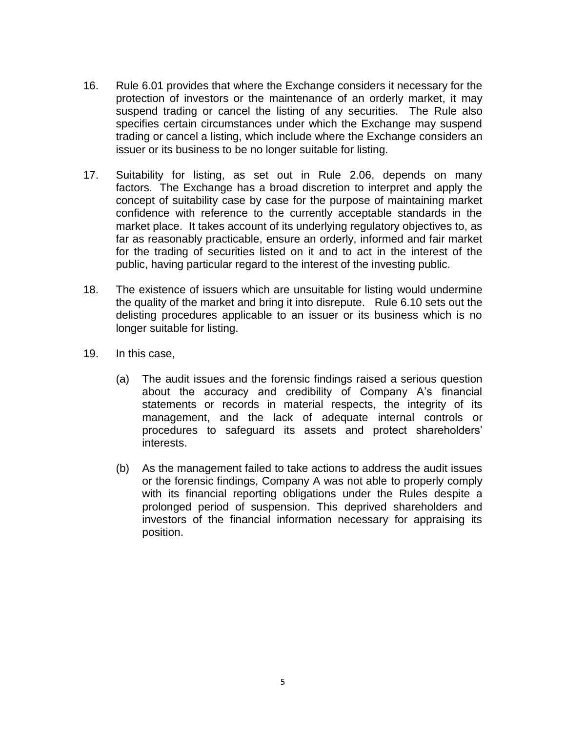- 16. Rule 6.01 provides that where the Exchange considers it necessary for the protection of investors or the maintenance of an orderly market, it may suspend trading or cancel the listing of any securities. The Rule also specifies certain circumstances under which the Exchange may suspend trading or cancel a listing, which include where the Exchange considers an issuer or its business to be no longer suitable for listing.
- 17. Suitability for listing, as set out in Rule 2.06, depends on many factors. The Exchange has a broad discretion to interpret and apply the concept of suitability case by case for the purpose of maintaining market confidence with reference to the currently acceptable standards in the market place. It takes account of its underlying regulatory objectives to, as far as reasonably practicable, ensure an orderly, informed and fair market for the trading of securities listed on it and to act in the interest of the public, having particular regard to the interest of the investing public.
- 18. The existence of issuers which are unsuitable for listing would undermine the quality of the market and bring it into disrepute. Rule 6.10 sets out the delisting procedures applicable to an issuer or its business which is no longer suitable for listing.
- 19. In this case,
	- (a) The audit issues and the forensic findings raised a serious question about the accuracy and credibility of Company A's financial statements or records in material respects, the integrity of its management, and the lack of adequate internal controls or procedures to safeguard its assets and protect shareholders' interests.
	- (b) As the management failed to take actions to address the audit issues or the forensic findings, Company A was not able to properly comply with its financial reporting obligations under the Rules despite a prolonged period of suspension. This deprived shareholders and investors of the financial information necessary for appraising its position.